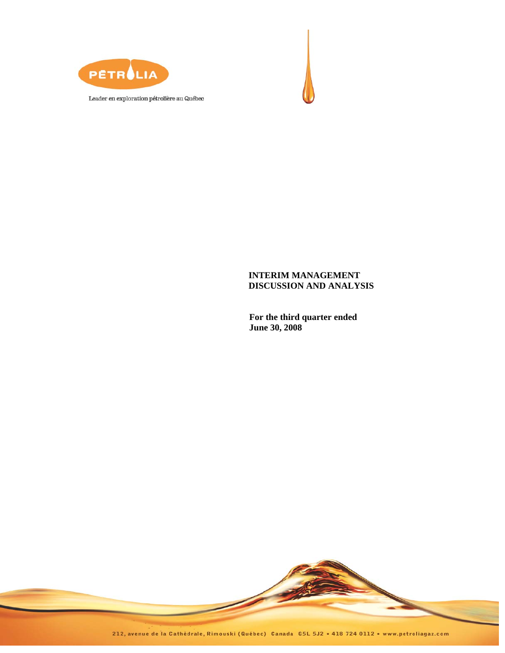



**For the third quarter ended June 30, 2008** 



212, avenue de la Cathédrale, Rimouski (Québec) Canada G5L 5J2 · 418 724 0112 · www.petroliagaz.com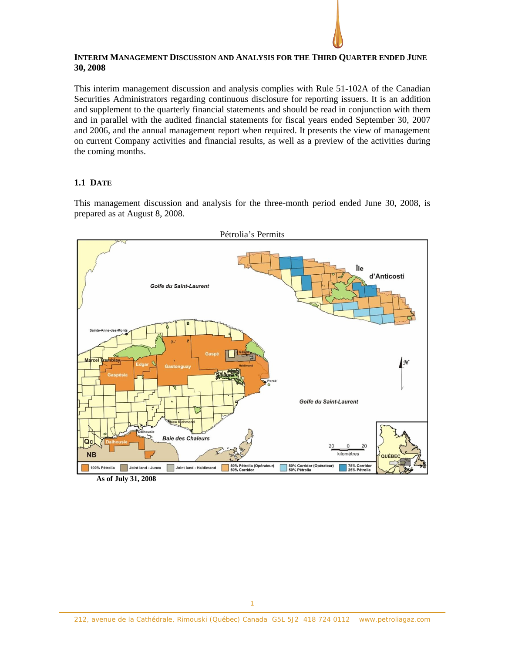## **INTERIM MANAGEMENT DISCUSSION AND ANALYSIS FOR THE THIRD QUARTER ENDED JUNE 30, 2008**

This interim management discussion and analysis complies with Rule 51-102A of the Canadian Securities Administrators regarding continuous disclosure for reporting issuers. It is an addition and supplement to the quarterly financial statements and should be read in conjunction with them and in parallel with the audited financial statements for fiscal years ended September 30, 2007 and 2006, and the annual management report when required. It presents the view of management on current Company activities and financial results, as well as a preview of the activities during the coming months.

# **1.1 DATE**

This management discussion and analysis for the three-month period ended June 30, 2008, is prepared as at August 8, 2008.



**As of July 31, 2008**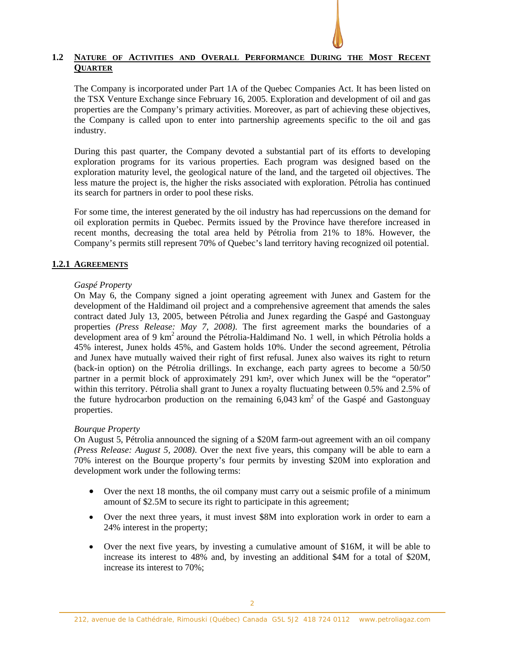# **1.2 NATURE OF ACTIVITIES AND OVERALL PERFORMANCE DURING THE MOST RECENT QUARTER**

The Company is incorporated under Part 1A of the Quebec Companies Act. It has been listed on the TSX Venture Exchange since February 16, 2005. Exploration and development of oil and gas properties are the Company's primary activities. Moreover, as part of achieving these objectives, the Company is called upon to enter into partnership agreements specific to the oil and gas industry.

During this past quarter, the Company devoted a substantial part of its efforts to developing exploration programs for its various properties. Each program was designed based on the exploration maturity level, the geological nature of the land, and the targeted oil objectives. The less mature the project is, the higher the risks associated with exploration. Pétrolia has continued its search for partners in order to pool these risks.

For some time, the interest generated by the oil industry has had repercussions on the demand for oil exploration permits in Quebec. Permits issued by the Province have therefore increased in recent months, decreasing the total area held by Pétrolia from 21% to 18%. However, the Company's permits still represent 70% of Quebec's land territory having recognized oil potential.

# **1.2.1 AGREEMENTS**

## *Gaspé Property*

On May 6, the Company signed a joint operating agreement with Junex and Gastem for the development of the Haldimand oil project and a comprehensive agreement that amends the sales contract dated July 13, 2005, between Pétrolia and Junex regarding the Gaspé and Gastonguay properties *(Press Release: May 7, 2008)*. The first agreement marks the boundaries of a development area of 9  $km^2$  around the Pétrolia-Haldimand No. 1 well, in which Pétrolia holds a 45% interest, Junex holds 45%, and Gastem holds 10%. Under the second agreement, Pétrolia and Junex have mutually waived their right of first refusal. Junex also waives its right to return (back-in option) on the Pétrolia drillings. In exchange, each party agrees to become a 50/50 partner in a permit block of approximately 291 km², over which Junex will be the "operator" within this territory. Pétrolia shall grant to Junex a royalty fluctuating between 0.5% and 2.5% of the future hydrocarbon production on the remaining  $6,043 \text{ km}^2$  of the Gaspé and Gastonguay properties.

# *Bourque Property*

On August 5, Pétrolia announced the signing of a \$20M farm-out agreement with an oil company *(Press Release: August 5, 2008)*. Over the next five years, this company will be able to earn a 70% interest on the Bourque property's four permits by investing \$20M into exploration and development work under the following terms:

- Over the next 18 months, the oil company must carry out a seismic profile of a minimum amount of \$2.5M to secure its right to participate in this agreement;
- Over the next three years, it must invest \$8M into exploration work in order to earn a 24% interest in the property;
- Over the next five years, by investing a cumulative amount of \$16M, it will be able to increase its interest to 48% and, by investing an additional \$4M for a total of \$20M, increase its interest to 70%;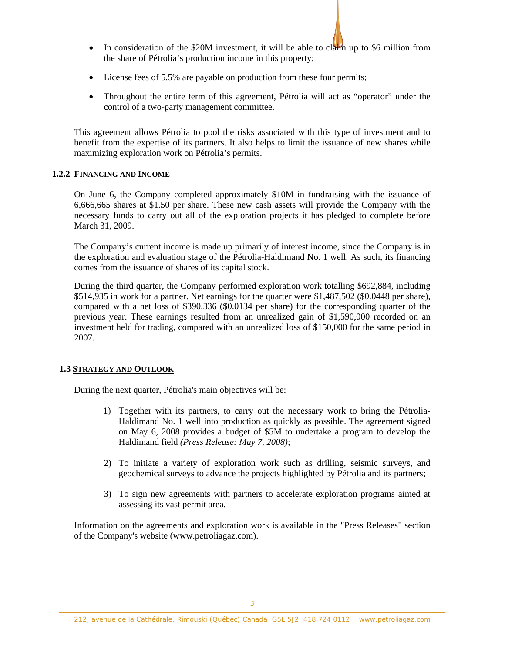- In consideration of the \$20M investment, it will be able to claim up to \$6 million from the share of Pétrolia's production income in this property;
- License fees of 5.5% are payable on production from these four permits;
- Throughout the entire term of this agreement, Pétrolia will act as "operator" under the control of a two-party management committee.

This agreement allows Pétrolia to pool the risks associated with this type of investment and to benefit from the expertise of its partners. It also helps to limit the issuance of new shares while maximizing exploration work on Pétrolia's permits.

# **1.2.2 FINANCING AND INCOME**

On June 6, the Company completed approximately \$10M in fundraising with the issuance of 6,666,665 shares at \$1.50 per share. These new cash assets will provide the Company with the necessary funds to carry out all of the exploration projects it has pledged to complete before March 31, 2009.

The Company's current income is made up primarily of interest income, since the Company is in the exploration and evaluation stage of the Pétrolia-Haldimand No. 1 well. As such, its financing comes from the issuance of shares of its capital stock.

During the third quarter, the Company performed exploration work totalling \$692,884, including \$514,935 in work for a partner. Net earnings for the quarter were \$1,487,502 (\$0.0448 per share), compared with a net loss of \$390,336 (\$0.0134 per share) for the corresponding quarter of the previous year. These earnings resulted from an unrealized gain of \$1,590,000 recorded on an investment held for trading, compared with an unrealized loss of \$150,000 for the same period in 2007.

# **1.3 STRATEGY AND OUTLOOK**

During the next quarter, Pétrolia's main objectives will be:

- 1) Together with its partners, to carry out the necessary work to bring the Pétrolia-Haldimand No. 1 well into production as quickly as possible. The agreement signed on May 6, 2008 provides a budget of \$5M to undertake a program to develop the Haldimand field *(Press Release: May 7, 2008)*;
- 2) To initiate a variety of exploration work such as drilling, seismic surveys, and geochemical surveys to advance the projects highlighted by Pétrolia and its partners;
- 3) To sign new agreements with partners to accelerate exploration programs aimed at assessing its vast permit area.

Information on the agreements and exploration work is available in the "Press Releases" section of the Company's website (www.petroliagaz.com).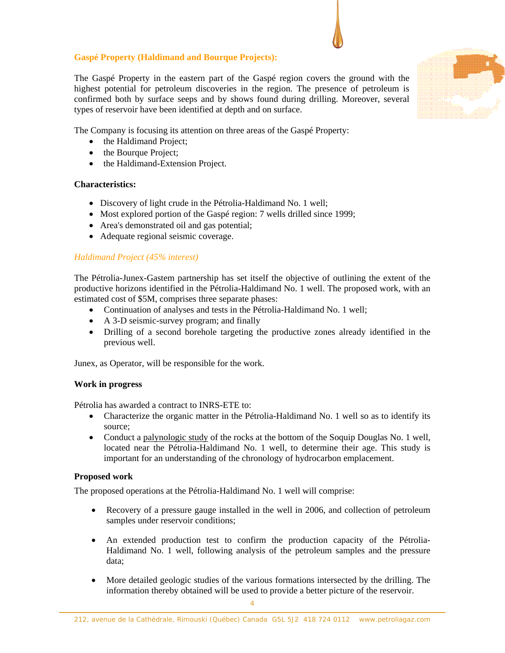# **Gaspé Property (Haldimand and Bourque Projects):**

The Gaspé Property in the eastern part of the Gaspé region covers the ground with the highest potential for petroleum discoveries in the region. The presence of petroleum is confirmed both by surface seeps and by shows found during drilling. Moreover, several types of reservoir have been identified at depth and on surface.



The Company is focusing its attention on three areas of the Gaspé Property:

- the Haldimand Project;
- the Bourque Project;
- the Haldimand-Extension Project.

## **Characteristics:**

- Discovery of light crude in the Pétrolia-Haldimand No. 1 well;
- Most explored portion of the Gaspé region: 7 wells drilled since 1999;
- Area's demonstrated oil and gas potential;
- Adequate regional seismic coverage.

# *Haldimand Project (45% interest)*

The Pétrolia-Junex-Gastem partnership has set itself the objective of outlining the extent of the productive horizons identified in the Pétrolia-Haldimand No. 1 well. The proposed work, with an estimated cost of \$5M, comprises three separate phases:

- Continuation of analyses and tests in the Pétrolia-Haldimand No. 1 well;
- A 3-D seismic-survey program; and finally
- Drilling of a second borehole targeting the productive zones already identified in the previous well.

Junex, as Operator, will be responsible for the work.

# **Work in progress**

Pétrolia has awarded a contract to INRS-ETE to:

- Characterize the organic matter in the Pétrolia-Haldimand No. 1 well so as to identify its source;
- Conduct a palynologic study of the rocks at the bottom of the Soquip Douglas No. 1 well, located near the Pétrolia-Haldimand No. 1 well, to determine their age. This study is important for an understanding of the chronology of hydrocarbon emplacement.

# **Proposed work**

The proposed operations at the Pétrolia-Haldimand No. 1 well will comprise:

- Recovery of a pressure gauge installed in the well in 2006, and collection of petroleum samples under reservoir conditions;
- An extended production test to confirm the production capacity of the Pétrolia-Haldimand No. 1 well, following analysis of the petroleum samples and the pressure data;
- More detailed geologic studies of the various formations intersected by the drilling. The information thereby obtained will be used to provide a better picture of the reservoir.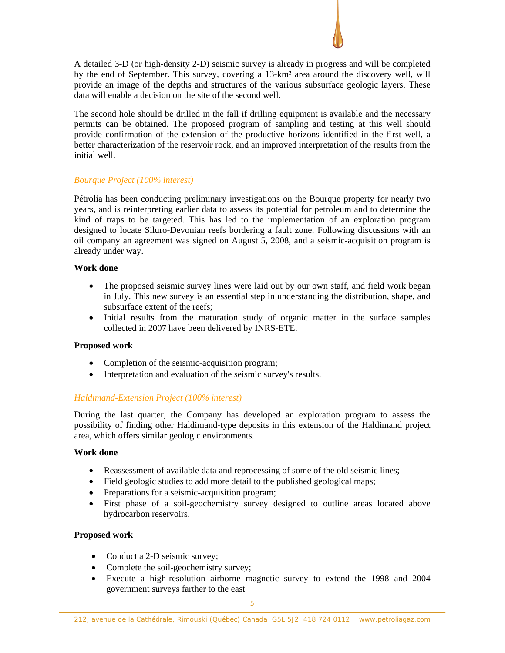A detailed 3-D (or high-density 2-D) seismic survey is already in progress and will be completed by the end of September. This survey, covering a 13-km² area around the discovery well, will provide an image of the depths and structures of the various subsurface geologic layers. These data will enable a decision on the site of the second well.

The second hole should be drilled in the fall if drilling equipment is available and the necessary permits can be obtained. The proposed program of sampling and testing at this well should provide confirmation of the extension of the productive horizons identified in the first well, a better characterization of the reservoir rock, and an improved interpretation of the results from the initial well.

# *Bourque Project (100% interest)*

Pétrolia has been conducting preliminary investigations on the Bourque property for nearly two years, and is reinterpreting earlier data to assess its potential for petroleum and to determine the kind of traps to be targeted. This has led to the implementation of an exploration program designed to locate Siluro-Devonian reefs bordering a fault zone. Following discussions with an oil company an agreement was signed on August 5, 2008, and a seismic-acquisition program is already under way.

# **Work done**

- The proposed seismic survey lines were laid out by our own staff, and field work began in July. This new survey is an essential step in understanding the distribution, shape, and subsurface extent of the reefs;
- Initial results from the maturation study of organic matter in the surface samples collected in 2007 have been delivered by INRS-ETE.

# **Proposed work**

- Completion of the seismic-acquisition program;
- Interpretation and evaluation of the seismic survey's results.

# *Haldimand-Extension Project (100% interest)*

During the last quarter, the Company has developed an exploration program to assess the possibility of finding other Haldimand-type deposits in this extension of the Haldimand project area, which offers similar geologic environments.

# **Work done**

- Reassessment of available data and reprocessing of some of the old seismic lines;
- Field geologic studies to add more detail to the published geological maps;
- Preparations for a seismic-acquisition program;
- First phase of a soil-geochemistry survey designed to outline areas located above hydrocarbon reservoirs.

# **Proposed work**

- Conduct a 2-D seismic survey;
- Complete the soil-geochemistry survey;
- Execute a high-resolution airborne magnetic survey to extend the 1998 and 2004 government surveys farther to the east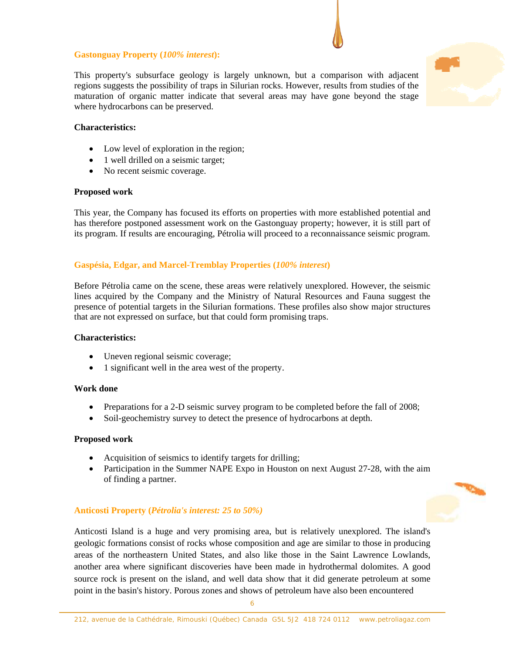# **Gastonguay Property (***100% interest***):**

This property's subsurface geology is largely unknown, but a comparison with adjacent regions suggests the possibility of traps in Silurian rocks. However, results from studies of the maturation of organic matter indicate that several areas may have gone beyond the stage where hydrocarbons can be preserved.

# **Characteristics:**

- Low level of exploration in the region;
- 1 well drilled on a seismic target;
- No recent seismic coverage.

## **Proposed work**

This year, the Company has focused its efforts on properties with more established potential and has therefore postponed assessment work on the Gastonguay property; however, it is still part of its program. If results are encouraging, Pétrolia will proceed to a reconnaissance seismic program.

## **Gaspésia, Edgar, and Marcel-Tremblay Properties (***100% interest***)**

Before Pétrolia came on the scene, these areas were relatively unexplored. However, the seismic lines acquired by the Company and the Ministry of Natural Resources and Fauna suggest the presence of potential targets in the Silurian formations. These profiles also show major structures that are not expressed on surface, but that could form promising traps.

## **Characteristics:**

- Uneven regional seismic coverage;
- 1 significant well in the area west of the property.

## **Work done**

- Preparations for a 2-D seismic survey program to be completed before the fall of 2008;
- Soil-geochemistry survey to detect the presence of hydrocarbons at depth.

## **Proposed work**

- Acquisition of seismics to identify targets for drilling;
- Participation in the Summer NAPE Expo in Houston on next August 27-28, with the aim of finding a partner.

## **Anticosti Property (***Pétrolia's interest: 25 to 50%)*

Anticosti Island is a huge and very promising area, but is relatively unexplored. The island's geologic formations consist of rocks whose composition and age are similar to those in producing areas of the northeastern United States, and also like those in the Saint Lawrence Lowlands, another area where significant discoveries have been made in hydrothermal dolomites. A good source rock is present on the island, and well data show that it did generate petroleum at some point in the basin's history. Porous zones and shows of petroleum have also been encountered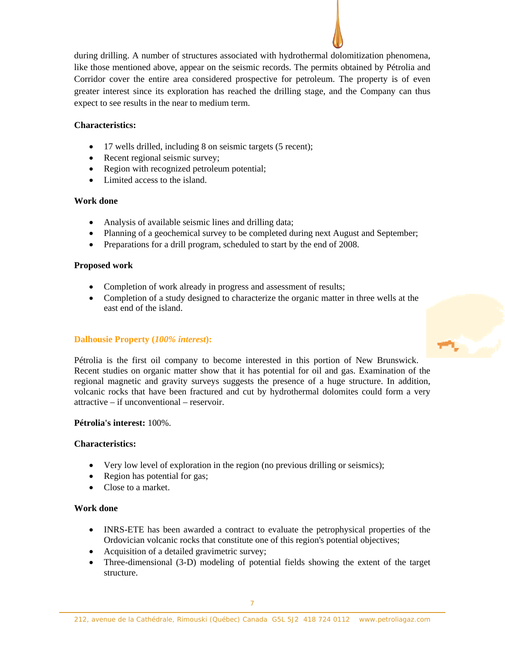during drilling. A number of structures associated with hydrothermal dolomitization phenomena, like those mentioned above, appear on the seismic records. The permits obtained by Pétrolia and Corridor cover the entire area considered prospective for petroleum. The property is of even greater interest since its exploration has reached the drilling stage, and the Company can thus expect to see results in the near to medium term.

# **Characteristics:**

- 17 wells drilled, including 8 on seismic targets (5 recent);
- Recent regional seismic survey;
- Region with recognized petroleum potential;
- Limited access to the island.

# **Work done**

- Analysis of available seismic lines and drilling data;
- Planning of a geochemical survey to be completed during next August and September;
- Preparations for a drill program, scheduled to start by the end of 2008.

# **Proposed work**

- Completion of work already in progress and assessment of results;
- Completion of a study designed to characterize the organic matter in three wells at the east end of the island.

# **Dalhousie Property (***100% interest***):**

Pétrolia is the first oil company to become interested in this portion of New Brunswick. Recent studies on organic matter show that it has potential for oil and gas. Examination of the regional magnetic and gravity surveys suggests the presence of a huge structure. In addition, volcanic rocks that have been fractured and cut by hydrothermal dolomites could form a very attractive – if unconventional – reservoir.

# **Pétrolia's interest:** 100%.

# **Characteristics:**

- Very low level of exploration in the region (no previous drilling or seismics);
- Region has potential for gas;
- Close to a market.

# **Work done**

- INRS-ETE has been awarded a contract to evaluate the petrophysical properties of the Ordovician volcanic rocks that constitute one of this region's potential objectives;
- Acquisition of a detailed gravimetric survey;
- Three-dimensional (3-D) modeling of potential fields showing the extent of the target structure.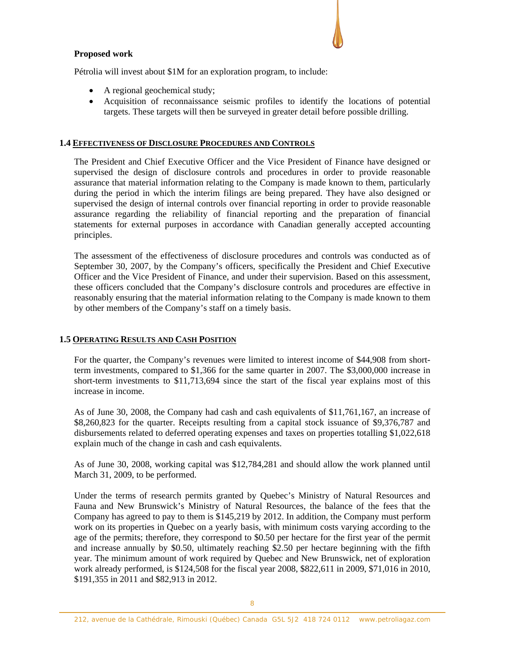# **Proposed work**

Pétrolia will invest about \$1M for an exploration program, to include:

- A regional geochemical study;
- Acquisition of reconnaissance seismic profiles to identify the locations of potential targets. These targets will then be surveyed in greater detail before possible drilling.

## **1.4 EFFECTIVENESS OF DISCLOSURE PROCEDURES AND CONTROLS**

The President and Chief Executive Officer and the Vice President of Finance have designed or supervised the design of disclosure controls and procedures in order to provide reasonable assurance that material information relating to the Company is made known to them, particularly during the period in which the interim filings are being prepared. They have also designed or supervised the design of internal controls over financial reporting in order to provide reasonable assurance regarding the reliability of financial reporting and the preparation of financial statements for external purposes in accordance with Canadian generally accepted accounting principles.

The assessment of the effectiveness of disclosure procedures and controls was conducted as of September 30, 2007, by the Company's officers, specifically the President and Chief Executive Officer and the Vice President of Finance, and under their supervision. Based on this assessment, these officers concluded that the Company's disclosure controls and procedures are effective in reasonably ensuring that the material information relating to the Company is made known to them by other members of the Company's staff on a timely basis.

# **1.5 OPERATING RESULTS AND CASH POSITION**

For the quarter, the Company's revenues were limited to interest income of \$44,908 from shortterm investments, compared to \$1,366 for the same quarter in 2007. The \$3,000,000 increase in short-term investments to \$11,713,694 since the start of the fiscal year explains most of this increase in income.

As of June 30, 2008, the Company had cash and cash equivalents of \$11,761,167, an increase of \$8,260,823 for the quarter. Receipts resulting from a capital stock issuance of \$9,376,787 and disbursements related to deferred operating expenses and taxes on properties totalling \$1,022,618 explain much of the change in cash and cash equivalents.

As of June 30, 2008, working capital was \$12,784,281 and should allow the work planned until March 31, 2009, to be performed.

Under the terms of research permits granted by Quebec's Ministry of Natural Resources and Fauna and New Brunswick's Ministry of Natural Resources, the balance of the fees that the Company has agreed to pay to them is \$145,219 by 2012. In addition, the Company must perform work on its properties in Quebec on a yearly basis, with minimum costs varying according to the age of the permits; therefore, they correspond to \$0.50 per hectare for the first year of the permit and increase annually by \$0.50, ultimately reaching \$2.50 per hectare beginning with the fifth year. The minimum amount of work required by Quebec and New Brunswick, net of exploration work already performed, is \$124,508 for the fiscal year 2008, \$822,611 in 2009, \$71,016 in 2010, \$191,355 in 2011 and \$82,913 in 2012.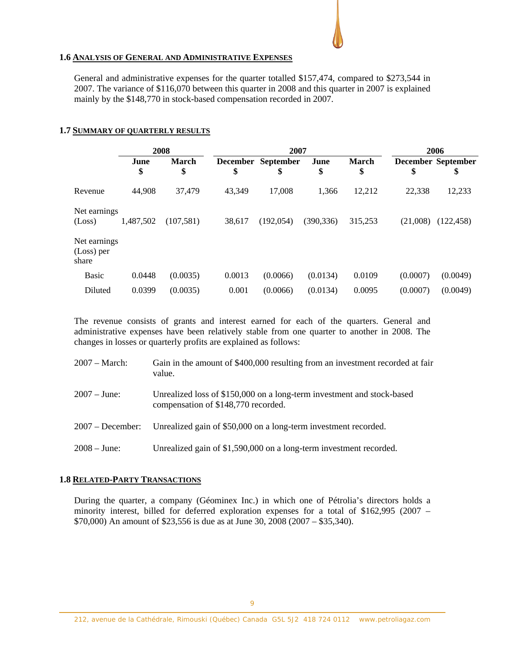## **1.6 ANALYSIS OF GENERAL AND ADMINISTRATIVE EXPENSES**

General and administrative expenses for the quarter totalled \$157,474, compared to \$273,544 in 2007. The variance of \$116,070 between this quarter in 2008 and this quarter in 2007 is explained mainly by the \$148,770 in stock-based compensation recorded in 2007.

## **1.7 SUMMARY OF QUARTERLY RESULTS**

|                                     | 2008       |                    | 2007   |                          |            |                    | 2006     |                                 |
|-------------------------------------|------------|--------------------|--------|--------------------------|------------|--------------------|----------|---------------------------------|
|                                     | June<br>\$ | <b>March</b><br>\$ | \$     | December September<br>\$ | June<br>\$ | <b>March</b><br>\$ | \$       | <b>December September</b><br>\$ |
| Revenue                             | 44,908     | 37,479             | 43,349 | 17,008                   | 1,366      | 12,212             | 22,338   | 12,233                          |
| Net earnings<br>(Loss)              | 1,487,502  | (107,581)          | 38,617 | (192, 054)               | (390, 336) | 315,253            | (21,008) | (122, 458)                      |
| Net earnings<br>(Loss) per<br>share |            |                    |        |                          |            |                    |          |                                 |
| <b>Basic</b>                        | 0.0448     | (0.0035)           | 0.0013 | (0.0066)                 | (0.0134)   | 0.0109             | (0.0007) | (0.0049)                        |
| Diluted                             | 0.0399     | (0.0035)           | 0.001  | (0.0066)                 | (0.0134)   | 0.0095             | (0.0007) | (0.0049)                        |

The revenue consists of grants and interest earned for each of the quarters. General and administrative expenses have been relatively stable from one quarter to another in 2008. The changes in losses or quarterly profits are explained as follows:

| $2007 - March:$    | Gain in the amount of \$400,000 resulting from an investment recorded at fair<br>value.                       |
|--------------------|---------------------------------------------------------------------------------------------------------------|
| $2007 - June:$     | Unrealized loss of \$150,000 on a long-term investment and stock-based<br>compensation of \$148,770 recorded. |
| $2007 - December:$ | Unrealized gain of \$50,000 on a long-term investment recorded.                                               |
| $2008 - June:$     | Unrealized gain of \$1,590,000 on a long-term investment recorded.                                            |

## **1.8 RELATED-PARTY TRANSACTIONS**

During the quarter, a company (Géominex Inc.) in which one of Pétrolia's directors holds a minority interest, billed for deferred exploration expenses for a total of \$162,995 (2007 – \$70,000) An amount of \$23,556 is due as at June 30, 2008 (2007 – \$35,340).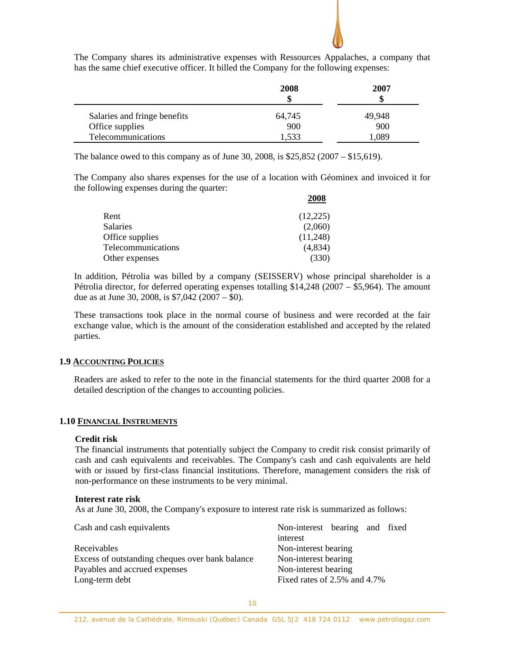

The Company shares its administrative expenses with Ressources Appalaches, a company that has the same chief executive officer. It billed the Company for the following expenses:

|                              | 2008<br>\$ | 2007<br>\$ |
|------------------------------|------------|------------|
| Salaries and fringe benefits | 64,745     | 49,948     |
| Office supplies              | 900        | 900        |
| Telecommunications           | 1,533      | .089       |

The balance owed to this company as of June 30, 2008, is \$25,852 (2007 – \$15,619).

The Company also shares expenses for the use of a location with Géominex and invoiced it for the following expenses during the quarter:

|      |                    | 2008     |
|------|--------------------|----------|
| Rent |                    | (12,225) |
|      | <b>Salaries</b>    | (2,060)  |
|      | Office supplies    | (11,248) |
|      | Telecommunications | (4,834)  |
|      | Other expenses     | (330)    |

In addition, Pétrolia was billed by a company (SEISSERV) whose principal shareholder is a Pétrolia director, for deferred operating expenses totalling \$14,248 (2007 – \$5,964). The amount due as at June 30, 2008, is  $$7,042$  (2007 – \$0).

These transactions took place in the normal course of business and were recorded at the fair exchange value, which is the amount of the consideration established and accepted by the related parties.

## **1.9 ACCOUNTING POLICIES**

Readers are asked to refer to the note in the financial statements for the third quarter 2008 for a detailed description of the changes to accounting policies.

# **1.10 FINANCIAL INSTRUMENTS**

#### **Credit risk**

The financial instruments that potentially subject the Company to credit risk consist primarily of cash and cash equivalents and receivables. The Company's cash and cash equivalents are held with or issued by first-class financial institutions. Therefore, management considers the risk of non-performance on these instruments to be very minimal.

#### **Interest rate risk**

As at June 30, 2008, the Company's exposure to interest rate risk is summarized as follows:

| Cash and cash equivalents                       | Non-interest bearing and fixed |
|-------------------------------------------------|--------------------------------|
|                                                 | interest                       |
| Receivables                                     | Non-interest bearing           |
| Excess of outstanding cheques over bank balance | Non-interest bearing           |
| Payables and accrued expenses                   | Non-interest bearing           |
| Long-term debt                                  | Fixed rates of 2.5% and 4.7%   |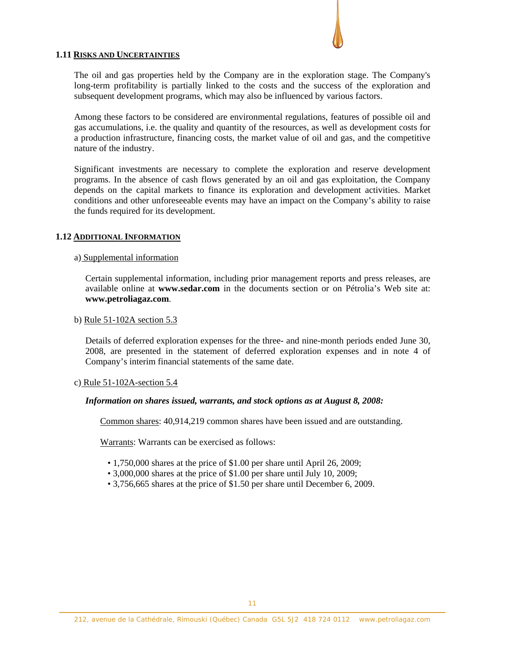## **1.11 RISKS AND UNCERTAINTIES**

The oil and gas properties held by the Company are in the exploration stage. The Company's long-term profitability is partially linked to the costs and the success of the exploration and subsequent development programs, which may also be influenced by various factors.

Among these factors to be considered are environmental regulations, features of possible oil and gas accumulations, i.e. the quality and quantity of the resources, as well as development costs for a production infrastructure, financing costs, the market value of oil and gas, and the competitive nature of the industry.

Significant investments are necessary to complete the exploration and reserve development programs. In the absence of cash flows generated by an oil and gas exploitation, the Company depends on the capital markets to finance its exploration and development activities. Market conditions and other unforeseeable events may have an impact on the Company's ability to raise the funds required for its development.

## **1.12 ADDITIONAL INFORMATION**

## a) Supplemental information

Certain supplemental information, including prior management reports and press releases, are available online at **www.sedar.com** in the documents section or on Pétrolia's Web site at: **www.petroliagaz.com**.

## b) Rule 51-102A section 5.3

Details of deferred exploration expenses for the three- and nine-month periods ended June 30, 2008, are presented in the statement of deferred exploration expenses and in note 4 of Company's interim financial statements of the same date.

## c) Rule 51-102A-section 5.4

## *Information on shares issued, warrants, and stock options as at August 8, 2008:*

Common shares: 40,914,219 common shares have been issued and are outstanding.

Warrants: Warrants can be exercised as follows:

- 1,750,000 shares at the price of \$1.00 per share until April 26, 2009;
- 3,000,000 shares at the price of \$1.00 per share until July 10, 2009;
- 3,756,665 shares at the price of \$1.50 per share until December 6, 2009.